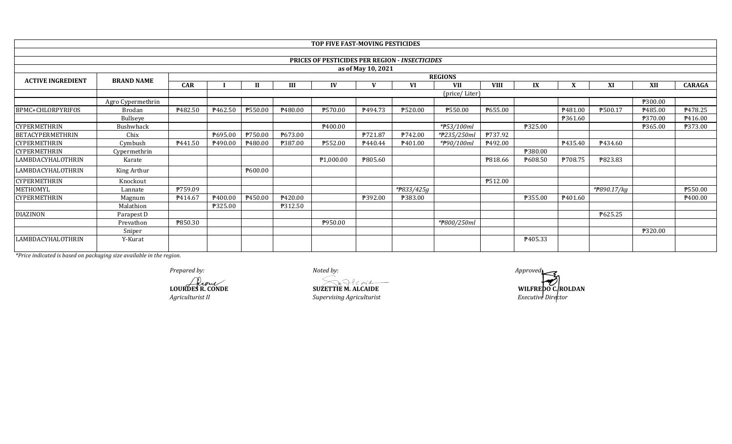|                          |                   |            |               |                |         | TOP FIVE FAST-MOVING PESTICIDES                       |                    |            |                |             |         |                     |             |            |                     |
|--------------------------|-------------------|------------|---------------|----------------|---------|-------------------------------------------------------|--------------------|------------|----------------|-------------|---------|---------------------|-------------|------------|---------------------|
|                          |                   |            |               |                |         |                                                       |                    |            |                |             |         |                     |             |            |                     |
|                          |                   |            |               |                |         | <b>PRICES OF PESTICIDES PER REGION - INSECTICIDES</b> |                    |            |                |             |         |                     |             |            |                     |
|                          |                   |            |               |                |         |                                                       | as of May 10, 2021 |            |                |             |         |                     |             |            |                     |
| <b>ACTIVE INGREDIENT</b> | <b>BRAND NAME</b> |            |               |                |         |                                                       |                    |            | <b>REGIONS</b> |             |         |                     |             |            |                     |
|                          |                   | <b>CAR</b> |               |                | III     | IV                                                    | $\mathbf{V}$       | <b>VI</b>  | <b>VII</b>     | <b>VIII</b> | IX      | X                   | XI          | <b>XII</b> | <b>CARAGA</b>       |
|                          |                   |            | (price/Liter) |                |         |                                                       |                    |            |                |             |         |                     |             |            |                     |
|                          | Agro Cypermethrin |            |               |                |         |                                                       |                    |            |                |             |         |                     |             | ₱300.00    |                     |
| BPMC+CHLORPYRIFOS        | Brodan            | ₱482.50    | ₱462.50       | <b>P550.00</b> | ₱480.00 | <b>P570.00</b>                                        | <b>₱494.73</b>     | ₱520.00    | ₱550.00        | P655.00     |         | ₱481.00             | ₱500.17     | P485.00    | ₹478.25             |
|                          | Bullseye          |            |               |                |         |                                                       |                    |            |                |             |         | P361.60             |             | ₱370.00    | P416.00             |
| <b>CYPERMETHRIN</b>      | Bushwhack         |            |               |                |         | P400.00                                               |                    |            | *#53/100ml     |             | ₱325.00 |                     |             | ₱365.00    | <b>P373.00</b>      |
| <b>BETACYPERMETHRIN</b>  | Chix              |            | ₱695.00       | P750.00        | P673.00 |                                                       | P721.87            | ₱742.00    | *#235/250ml    | P737.92     |         |                     |             |            |                     |
| <b>CYPERMETHRIN</b>      | Cymbush           | P441.50    | P490.00       | P480.00        | P387.00 | ₱552.00                                               | P440.44            | P401.00    | *#90/100ml     | P492.00     |         | P435.40             | P434.60     |            |                     |
| <b>CYPERMETHRIN</b>      | Cypermethrin      |            |               |                |         |                                                       |                    |            |                |             | ₱380.00 |                     |             |            |                     |
| LAMBDACYHALOTHRIN        | Karate            |            |               |                |         | P1,000.00                                             | P805.60            |            |                | ₱818.66     | ₱608.50 | ₱708.75             | ₱823.83     |            |                     |
| <b>LAMBDACYHALOTHRIN</b> | King Arthur       |            |               | ₱600.00        |         |                                                       |                    |            |                |             |         |                     |             |            |                     |
| <b>CYPERMETHRIN</b>      | Knockout          |            |               |                |         |                                                       |                    |            |                | P512.00     |         |                     |             |            |                     |
| METHOMYL                 | Lannate           | P759.09    |               |                |         |                                                       |                    | *#833/425g |                |             |         |                     | *#890.17/kg |            | ₱550.00             |
| <b>CYPERMETHRIN</b>      | Magnum            | P414.67    | ₹400.00       | P450.00        | P420.00 |                                                       | ₱392.00            | ₱383.00    |                |             | ₱355.00 | P <sub>401.60</sub> |             |            | P <sub>400.00</sub> |
|                          | Malathion         |            | ₱325.00       |                | P312.50 |                                                       |                    |            |                |             |         |                     |             |            |                     |
| <b>DIAZINON</b>          | Parapest D        |            |               |                |         |                                                       |                    |            |                |             |         |                     | ₱625.25     |            |                     |
|                          | Prevathon         | ₱850.30    |               |                |         | ₱950.00                                               |                    |            | *#800/250ml    |             |         |                     |             |            |                     |
|                          | Sniper            |            |               |                |         |                                                       |                    |            |                |             |         |                     |             | ₱320.00    |                     |
| LAMBDACYHALOTHRIN        | Y-Kurat           |            |               |                |         |                                                       |                    |            |                |             | ₱405.33 |                     |             |            |                     |

**LOURDES R. CONDE SUZETTIE M. ALCAIDE** 

*Agriculturist II Supervising Agriculturist*

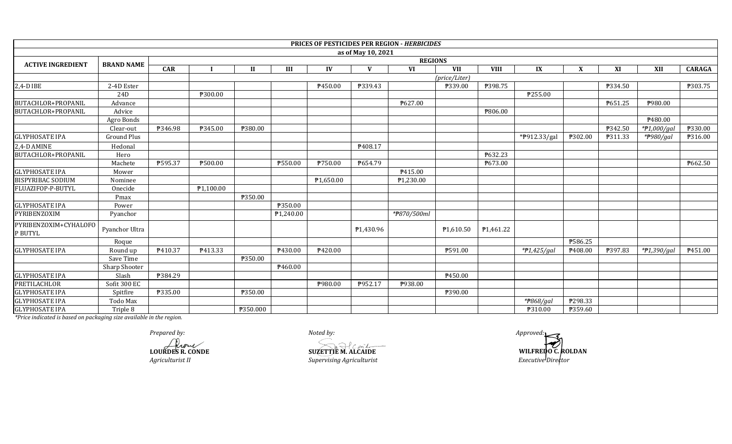|                                  |                    |                |           |              |           |           |                    | <b>PRICES OF PESTICIDES PER REGION - HERBICIDES</b> |                        |             |               |                           |         |                |               |
|----------------------------------|--------------------|----------------|-----------|--------------|-----------|-----------|--------------------|-----------------------------------------------------|------------------------|-------------|---------------|---------------------------|---------|----------------|---------------|
|                                  |                    |                |           |              |           |           | as of May 10, 2021 |                                                     |                        |             |               |                           |         |                |               |
| <b>ACTIVE INGREDIENT</b>         | <b>BRAND NAME</b>  | <b>REGIONS</b> |           |              |           |           |                    |                                                     |                        |             |               |                           |         |                |               |
|                                  |                    | <b>CAR</b>     |           | $\mathbf{H}$ | III       | IV        | $\mathbf{V}$       | <b>VI</b>                                           | <b>VII</b>             | <b>VIII</b> | $\mathbf{IX}$ | $\boldsymbol{\mathrm{X}}$ | XI      | XII            | <b>CARAGA</b> |
|                                  |                    |                |           |              |           |           |                    |                                                     | (price/Liter)          |             |               |                           |         |                |               |
| 2,4-D IBE                        | 2-4D Ester         |                |           |              |           | P450.00   | P339.43            |                                                     | ₱339.00                | ₱398.75     |               |                           | ₱334.50 |                | P303.75       |
|                                  | 24 <sub>D</sub>    |                | ₱300.00   |              |           |           |                    |                                                     |                        |             | ₱255.00       |                           |         |                |               |
| BUTACHLOR+PROPANIL               | Advance            |                |           |              |           |           |                    | P627.00                                             |                        |             |               |                           | ₱651.25 | P980.00        |               |
| BUTACHLOR+PROPANIL               | Advice             |                |           |              |           |           |                    |                                                     |                        | ₱806.00     |               |                           |         |                |               |
|                                  | Agro Bonds         |                |           |              |           |           |                    |                                                     |                        |             |               |                           |         | P480.00        |               |
|                                  | Clear-out          | ₱346.98        | P345.00   | ₱380.00      |           |           |                    |                                                     |                        |             |               |                           | ₱342.50 | * $#1,000/gal$ | ₱330.00       |
| <b>GLYPHOSATE IPA</b>            | <b>Ground Plus</b> |                |           |              |           |           |                    |                                                     |                        |             | *P912.33/gal  | ₱302.00                   | P311.33 | *#980/gal      | ₱316.00       |
| 2,4-D AMINE                      | Hedonal            |                |           |              |           |           | P408.17            |                                                     |                        |             |               |                           |         |                |               |
| BUTACHLOR+PROPANIL               | Hero               |                |           |              |           |           |                    |                                                     |                        | ₱632.23     |               |                           |         |                |               |
|                                  | Machete            | ₱595.37        | ₱500.00   |              | ₱550.00   | P750.00   | P654.79            |                                                     |                        | ₱673.00     |               |                           |         |                | P662.50       |
| <b>GLYPHOSATE IPA</b>            | Mower              |                |           |              |           |           |                    | P415.00                                             |                        |             |               |                           |         |                |               |
| <b>BISPYRIBAC SODIUM</b>         | Nominee            |                |           |              |           | P1,650.00 |                    | ₱1,230.00                                           |                        |             |               |                           |         |                |               |
| FLUAZIFOP-P-BUTYL                | Onecide            |                | P1,100.00 |              |           |           |                    |                                                     |                        |             |               |                           |         |                |               |
|                                  | Pmax               |                |           | ₱350.00      |           |           |                    |                                                     |                        |             |               |                           |         |                |               |
| <b>GLYPHOSATE IPA</b>            | Power              |                |           |              | ₱350.00   |           |                    |                                                     |                        |             |               |                           |         |                |               |
| PYRIBENZOXIM                     | Pyanchor           |                |           |              | ₱1,240.00 |           |                    | *#870/500ml                                         |                        |             |               |                           |         |                |               |
| PYRIBENZOXIM+CYHALOFO<br>P BUTYL | Pyanchor Ultra     |                |           |              |           |           | ₱1,430.96          |                                                     | P <sub>1</sub> ,610.50 | P1,461.22   |               |                           |         |                |               |
|                                  | Roque              |                |           |              |           |           |                    |                                                     |                        |             |               | ₱586.25                   |         |                |               |
| <b>GLYPHOSATE IPA</b>            | Round up           | P410.37        | P413.33   |              | P430.00   | P420.00   |                    |                                                     | P591.00                |             | $*P1,425/gal$ | P408.00                   | ₱397.83 | * $7,390/gal$  | P451.00       |
|                                  | Save Time          |                |           | ₱350.00      |           |           |                    |                                                     |                        |             |               |                           |         |                |               |
|                                  | Sharp Shooter      |                |           |              | ₱460.00   |           |                    |                                                     |                        |             |               |                           |         |                |               |
| <b>GLYPHOSATE IPA</b>            | Slash              | ₱384.29        |           |              |           |           |                    |                                                     | P450.00                |             |               |                           |         |                |               |
| PRETILACHLOR                     | Sofit 300 EC       |                |           |              |           | P980.00   | P952.17            | P938.00                                             |                        |             |               |                           |         |                |               |
| <b>GLYPHOSATE IPA</b>            | Spitfire           | ₱335.00        |           | ₱350.00      |           |           |                    |                                                     | ₱390.00                |             |               |                           |         |                |               |
| <b>GLYPHOSATE IPA</b>            | Todo Max           |                |           |              |           |           |                    |                                                     |                        |             | *#868/gal     | ₱298.33                   |         |                |               |
| <b>GLYPHOSATE IPA</b>            | Triple 8           |                |           | ₱350.000     |           |           |                    |                                                     |                        |             | ₱310.00       | ₱359.60                   |         |                |               |

*Agriculturist II Supervising Agriculturist Prepared by:*<br> *Approved:*<br> *Prepared by:*<br> *Approved:***<br>
SUZETTIE M. ALCAIDE <b>***ADPROVERED BY:* **LOURDES R. CONDE SUZETTIE M. ALCAIDE**

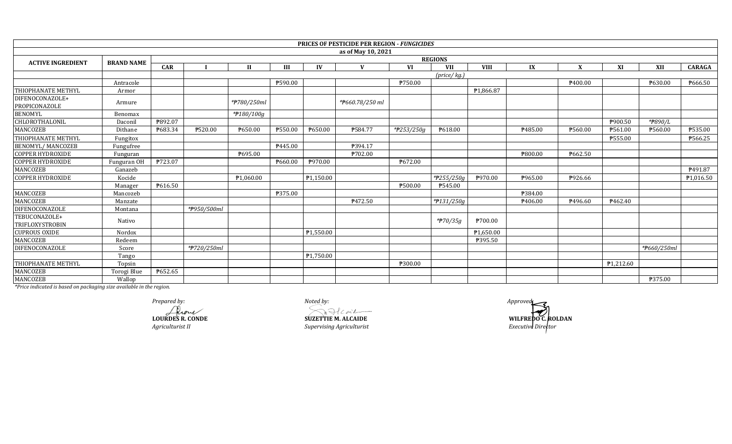|                                  |                   |            |             |              |                |                       | <b>PRICES OF PESTICIDE PER REGION - FUNGICIDES</b> |            |                             |             |         |         |           |             |                |
|----------------------------------|-------------------|------------|-------------|--------------|----------------|-----------------------|----------------------------------------------------|------------|-----------------------------|-------------|---------|---------|-----------|-------------|----------------|
|                                  |                   |            |             |              |                |                       | as of May 10, 2021                                 |            |                             |             |         |         |           |             |                |
| <b>ACTIVE INGREDIENT</b>         | <b>BRAND NAME</b> |            |             |              |                |                       |                                                    |            | <b>REGIONS</b>              |             |         |         |           |             |                |
|                                  |                   | <b>CAR</b> |             | $\mathbf{H}$ | Ш              | IV                    | $\mathbf{V}$                                       | <b>VI</b>  | <b>VII</b>                  | <b>VIII</b> | IX      | X       | XI        | XII         | <b>CARAGA</b>  |
|                                  |                   |            |             |              |                |                       |                                                    |            | $(\text{price}/\text{kg.})$ |             |         |         |           |             |                |
|                                  | Antracole         |            |             |              | ₱590.00        |                       |                                                    | P750.00    |                             |             |         | ₱400.00 |           | ₱630.00     | ₱666.50        |
| <b>THIOPHANATE METHYL</b>        | Armor             |            |             |              |                |                       |                                                    |            |                             | ₱1,866.87   |         |         |           |             |                |
| DIFENOCONAZOLE+<br>PROPICONAZOLE | Armure            |            |             | *#780/250ml  |                |                       | *#660.78/250 ml                                    |            |                             |             |         |         |           |             |                |
| <b>BENOMYL</b>                   | Benomax           |            |             | *#180/100g   |                |                       |                                                    |            |                             |             |         |         |           |             |                |
| CHLOROTHALONIL                   | Daconil           | ₱892.07    |             |              |                |                       |                                                    |            |                             |             |         |         | ₱900.50   | *#890/L     |                |
| MANCOZEB                         | Dithane           | ₱683.34    | ₱520.00     | P650.00      | ₱550.00        | ₹650.00               | ₱584.77                                            | *#253/250g | P618.00                     |             | ₱485.00 | ₱560.00 | P561.00   | ₱560.00     | <b>P535.00</b> |
| THIOPHANATE METHYL               | Fungitox          |            |             |              |                |                       |                                                    |            |                             |             |         |         | P555.00   |             | ₱566.25        |
| <b>BENOMYL/ MANCOZEB</b>         | Fungufree         |            |             |              | P445.00        |                       | ₱394.17                                            |            |                             |             |         |         |           |             |                |
| <b>COPPER HYDROXIDE</b>          | Funguran          |            |             | P695.00      |                |                       | ₱702.00                                            |            |                             |             | ₱800.00 | ₱662.50 |           |             |                |
| <b>COPPER HYDROXIDE</b>          | Funguran OH       | ₱723.07    |             |              | P660.00        | P970.00               |                                                    | P672.00    |                             |             |         |         |           |             |                |
| MANCOZEB                         | Ganazeb           |            |             |              |                |                       |                                                    |            |                             |             |         |         |           |             | P491.87        |
| <b>COPPER HYDROXIDE</b>          | Kocide            |            |             | P1,060.00    |                | ₱1,150.00             |                                                    |            | * $7255/250g$               | ₱970.00     | ₱965.00 | ₱926.66 |           |             | P1,016.50      |
|                                  | Manager           | P616.50    |             |              |                |                       |                                                    | P500.00    | P545.00                     |             |         |         |           |             |                |
| MANCOZEB                         | Mancozeb          |            |             |              | <b>P375.00</b> |                       |                                                    |            |                             |             | ₱384.00 |         |           |             |                |
| <b>MANCOZEB</b>                  | Manzate           |            |             |              |                |                       | P472.50                                            |            | *#131/250g                  |             | ₹406.00 | ₹496.60 | ₱462.40   |             |                |
| DIFENOCONAZOLE                   | Montana           |            | *#950/500ml |              |                |                       |                                                    |            |                             |             |         |         |           |             |                |
| TEBUCONAZOLE+<br>TRIFLOXYSTROBIN | Nativo            |            |             |              |                |                       |                                                    |            | *P70/35g                    | ₱700.00     |         |         |           |             |                |
| <b>CUPROUS OXIDE</b>             | Nordox            |            |             |              |                | P1,550.00             |                                                    |            |                             | P1,650.00   |         |         |           |             |                |
| MANCOZEB                         | Redeem            |            |             |              |                |                       |                                                    |            |                             | ₱395.50     |         |         |           |             |                |
| <b>DIFENOCONAZOLE</b>            | Score             |            | *#720/250ml |              |                |                       |                                                    |            |                             |             |         |         |           | *#660/250ml |                |
|                                  | Tango             |            |             |              |                | P <sub>1,750.00</sub> |                                                    |            |                             |             |         |         |           |             |                |
| THIOPHANATE METHYL               | Topsin            |            |             |              |                |                       |                                                    | ₱300.00    |                             |             |         |         | P1,212.60 |             |                |
| <b>MANCOZEB</b>                  | Torogi Blue       | ₱652.65    |             |              |                |                       |                                                    |            |                             |             |         |         |           |             |                |
| MANCOZEB                         | Wallop            |            |             |              |                |                       |                                                    |            |                             |             |         |         |           | ₱375.00     |                |

*Prepared by:*<br> **Agriculturist II**<br> *Agriculturist II Supervising Agriculturist*<br> *Supervising Agriculturist Prepared by: Noted by: Approved:* **LOURDES R. CONDE SUZETTIE M. ALCAIDE**

*Executive Director*  **WILFREDO C. ROLDAN**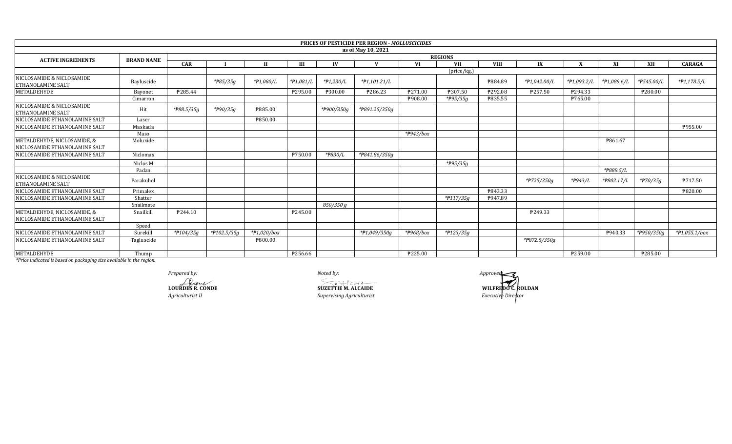|                                                       |                   |            |                |                |           |            | <b>PRICES OF PESTICIDE PER REGION - MOLLUSCICIDES</b> |           |                         |             |              |             |             |                         |                 |
|-------------------------------------------------------|-------------------|------------|----------------|----------------|-----------|------------|-------------------------------------------------------|-----------|-------------------------|-------------|--------------|-------------|-------------|-------------------------|-----------------|
|                                                       |                   |            |                |                |           |            | as of May 10, 2021                                    |           |                         |             |              |             |             |                         |                 |
| <b>ACTIVE INGREDIENTS</b>                             | <b>BRAND NAME</b> |            | <b>REGIONS</b> |                |           |            |                                                       |           |                         |             |              |             |             |                         |                 |
|                                                       |                   | <b>CAR</b> |                |                | Ш         | IV         |                                                       | <b>VI</b> | <b>VII</b>              | <b>VIII</b> | IX           |             | XI          | XII                     | <b>CARAGA</b>   |
|                                                       |                   |            |                |                |           |            |                                                       |           | $(\text{price/kg})$     |             |              |             |             |                         |                 |
| NICLOSAMIDE & NICLOSAMIDE<br><b>ETHANOLAMINE SALT</b> | Bayluscide        |            | *#85/35g       | *#1,080/L      | *#1,081/L | *#1,230/L  | *#1,101.21/L                                          |           |                         | ₱884.89     | *#1,042.00/L | *#1,093.2/L | *#1,089.6/L | *P545.00/L              | $*P1,178.5/L$   |
| METALDEHYDE                                           | Bayonet           | P285.44    |                |                | ₱295.00   | ₱300.00    | ₱286.23                                               | P271.00   | ₱307.50                 | ₱292.08     | P257.50      | P294.33     |             | ₱280.00                 |                 |
|                                                       | Cimarron          |            |                |                |           |            |                                                       | ₱908.00   | $*$ <del>P</del> 95/35g | P835.55     |              | ₱765.00     |             |                         |                 |
| NICLOSAMIDE & NICLOSAMIDE<br><b>ETHANOLAMINE SALT</b> | Hit               | *#88.5/35g | *#90/35g       | ₱885.00        |           | *P900/350g | *#891.25/350g                                         |           |                         |             |              |             |             |                         |                 |
| NICLOSAMIDE ETHANOLAMINE SALT                         | Laser             |            |                | ₱850.00        |           |            |                                                       |           |                         |             |              |             |             |                         |                 |
| NICLOSAMIDE ETHANOLAMINE SALT                         | Maskada           |            |                |                |           |            |                                                       |           |                         |             |              |             |             |                         | ₱955.00         |
|                                                       | Maso              |            |                |                |           |            |                                                       | *#943/box |                         |             |              |             |             |                         |                 |
| METALDEHYDE, NICLOSAMIDE, &                           | Moluxide          |            |                |                |           |            |                                                       |           |                         |             |              |             | P861.67     |                         |                 |
| NICLOSAMIDE ETHANOLAMINE SALT                         |                   |            |                |                |           |            |                                                       |           |                         |             |              |             |             |                         |                 |
| NICLOSAMIDE ETHANOLAMINE SALT                         | Niclomax          |            |                |                | ₱750.00   | *P830/L    | *P841.86/350g                                         |           |                         |             |              |             |             |                         |                 |
|                                                       | Niclos M          |            |                |                |           |            |                                                       |           | *#95/35g                |             |              |             |             |                         |                 |
|                                                       | Padan             |            |                |                |           |            |                                                       |           |                         |             |              |             | *#889.5/L   |                         |                 |
| NICLOSAMIDE & NICLOSAMIDE<br><b>ETHANOLAMINE SALT</b> | Parakuhol         |            |                |                |           |            |                                                       |           |                         |             | *#725/350g   | *P943/L     | *P802.17/L  | $*$ <sup>270</sup> /35g | P717.50         |
| NICLOSAMIDE ETHANOLAMINE SALT                         | Primalex          |            |                |                |           |            |                                                       |           |                         | ₱843.33     |              |             |             |                         | ₱820.00         |
| NICLOSAMIDE ETHANOLAMINE SALT                         | Shatter           |            |                |                |           |            |                                                       |           | *#117/35g               | P947.89     |              |             |             |                         |                 |
|                                                       | Snailmate         |            |                |                |           | 850/350 g  |                                                       |           |                         |             |              |             |             |                         |                 |
| METALDEHYDE, NICLOSAMIDE, &                           | Snailkill         | P244.10    |                |                | P245.00   |            |                                                       |           |                         |             | P249.33      |             |             |                         |                 |
| <b>NICLOSAMIDE ETHANOLAMINE SALT</b>                  |                   |            |                |                |           |            |                                                       |           |                         |             |              |             |             |                         |                 |
|                                                       | Speed             |            |                |                |           |            |                                                       |           |                         |             |              |             |             |                         |                 |
| NICLOSAMIDE ETHANOLAMINE SALT                         | Surekill          | *#104/35g  | *#102.5/35g    | $*P1,020/b$ ox |           |            | *#1,049/350g                                          | *#968/box | *#123/35g               |             |              |             | P940.33     | *P950/350g              | $*P1.055.1/box$ |
| NICLOSAMIDE ETHANOLAMINE SALT                         | Tagluscide        |            |                | ₱800.00        |           |            |                                                       |           |                         |             | *#872.5/350g |             |             |                         |                 |
| <b>METALDEHYDE</b>                                    | Thump             |            |                |                | ₱256.66   |            |                                                       | ₱225.00   |                         |             |              | ₱259.00     |             | ₱285.00                 |                 |

Prepared by:

LOURDES R. CONDE Agriculturist II

Noted by:

 $\n \begin{array}{c}\n \text{SuzETTE M. ALCAIDE}\n \end{array}$ 

Supervising Agriculturist

Approved WILFREDO C. ROLDAN